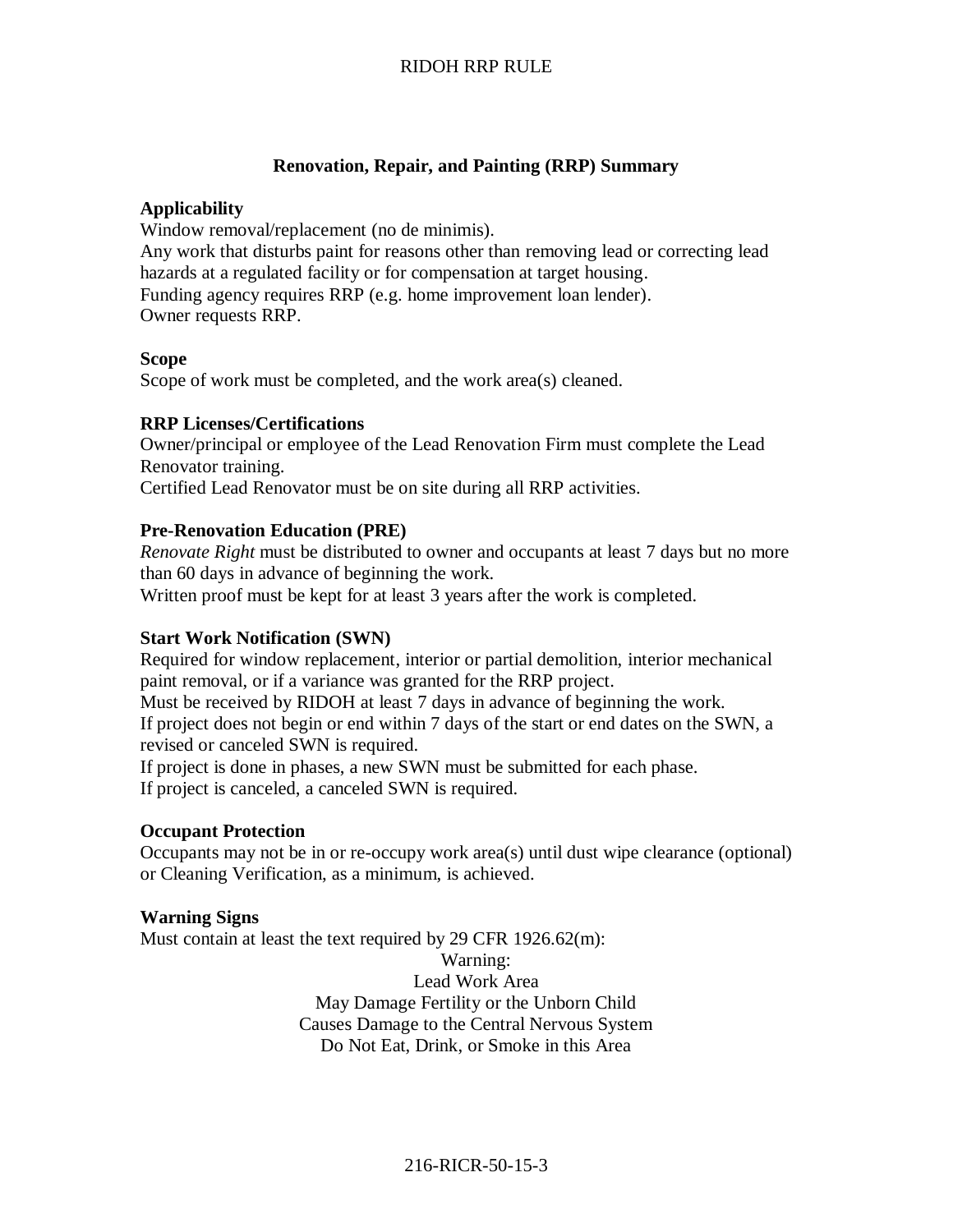### **Renovation, Repair, and Painting (RRP) Summary**

#### **Applicability**

Window removal/replacement (no de minimis).

Any work that disturbs paint for reasons other than removing lead or correcting lead hazards at a regulated facility or for compensation at target housing. Funding agency requires RRP (e.g. home improvement loan lender). Owner requests RRP.

### **Scope**

Scope of work must be completed, and the work area(s) cleaned.

### **RRP Licenses/Certifications**

Owner/principal or employee of the Lead Renovation Firm must complete the Lead Renovator training.

Certified Lead Renovator must be on site during all RRP activities.

### **Pre-Renovation Education (PRE)**

*Renovate Right* must be distributed to owner and occupants at least 7 days but no more than 60 days in advance of beginning the work.

Written proof must be kept for at least 3 years after the work is completed.

### **Start Work Notification (SWN)**

Required for window replacement, interior or partial demolition, interior mechanical paint removal, or if a variance was granted for the RRP project.

Must be received by RIDOH at least 7 days in advance of beginning the work. If project does not begin or end within 7 days of the start or end dates on the SWN, a revised or canceled SWN is required.

If project is done in phases, a new SWN must be submitted for each phase. If project is canceled, a canceled SWN is required.

#### **Occupant Protection**

Occupants may not be in or re-occupy work area(s) until dust wipe clearance (optional) or Cleaning Verification, as a minimum, is achieved.

#### **Warning Signs**

Must contain at least the text required by 29 CFR 1926.62(m):

Warning: Lead Work Area May Damage Fertility or the Unborn Child Causes Damage to the Central Nervous System Do Not Eat, Drink, or Smoke in this Area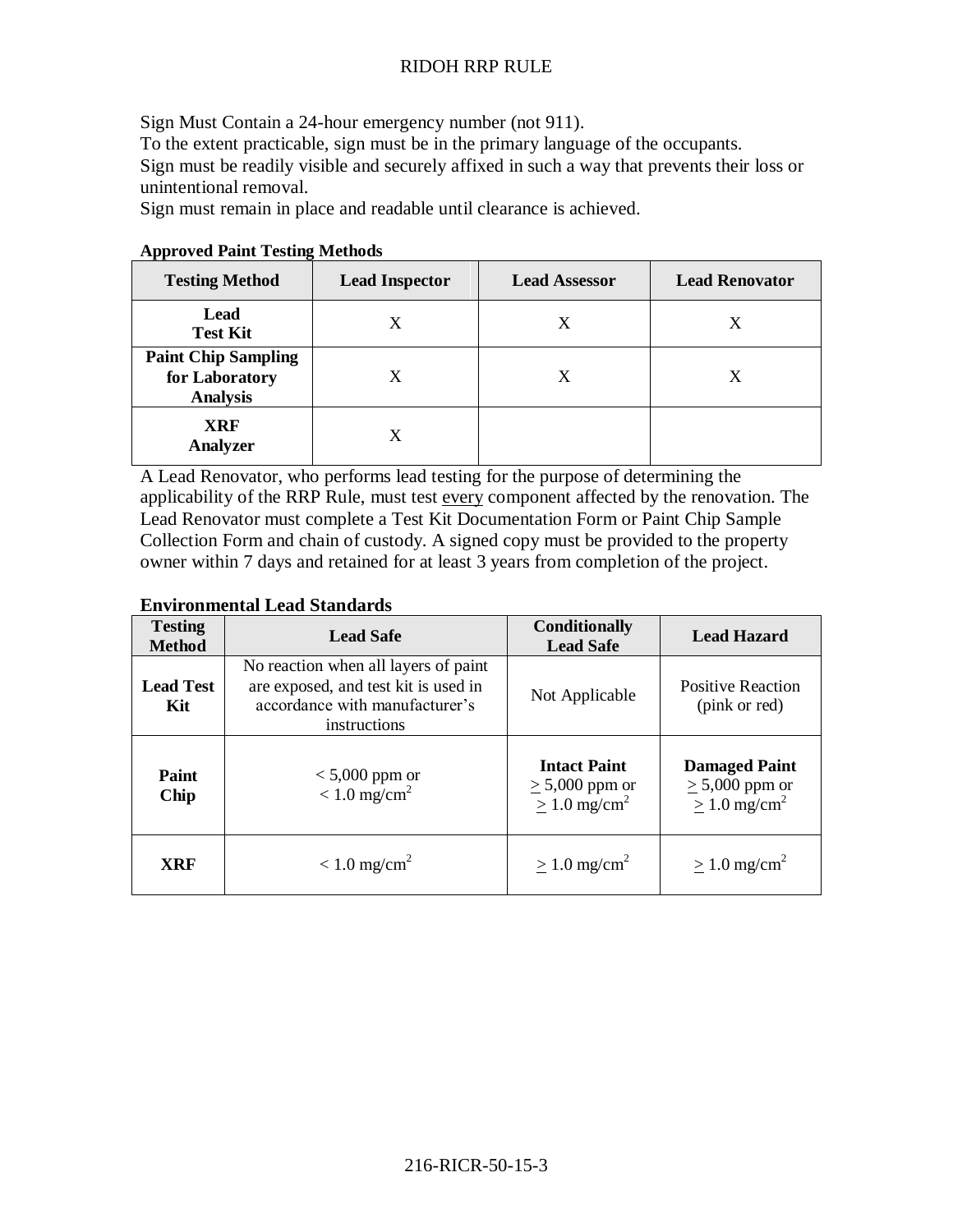Sign Must Contain a 24-hour emergency number (not 911). To the extent practicable, sign must be in the primary language of the occupants. Sign must be readily visible and securely affixed in such a way that prevents their loss or unintentional removal.

Sign must remain in place and readable until clearance is achieved.

| <b>Testing Method</b>                                           | <b>Lead Inspector</b> | <b>Lead Assessor</b> | <b>Lead Renovator</b> |
|-----------------------------------------------------------------|-----------------------|----------------------|-----------------------|
| Lead<br><b>Test Kit</b>                                         | X                     |                      |                       |
| <b>Paint Chip Sampling</b><br>for Laboratory<br><b>Analysis</b> | X                     | X                    | X                     |
| <b>XRF</b><br><b>Analyzer</b>                                   | X                     |                      |                       |

### **Approved Paint Testing Methods**

A Lead Renovator, who performs lead testing for the purpose of determining the applicability of the RRP Rule, must test every component affected by the renovation. The Lead Renovator must complete a Test Kit Documentation Form or Paint Chip Sample Collection Form and chain of custody. A signed copy must be provided to the property owner within 7 days and retained for at least 3 years from completion of the project.

### **Environmental Lead Standards**

| <b>Testing</b><br><b>Method</b> | <b>Lead Safe</b>                                                                                                               | <b>Conditionally</b><br><b>Lead Safe</b>                                   | <b>Lead Hazard</b>                                                           |
|---------------------------------|--------------------------------------------------------------------------------------------------------------------------------|----------------------------------------------------------------------------|------------------------------------------------------------------------------|
| <b>Lead Test</b><br>Kit         | No reaction when all layers of paint<br>are exposed, and test kit is used in<br>accordance with manufacturer's<br>instructions | Not Applicable                                                             | <b>Positive Reaction</b><br>(pink or red)                                    |
| Paint<br>Chip                   | $< 5,000$ ppm or<br>$< 1.0$ mg/cm <sup>2</sup>                                                                                 | <b>Intact Paint</b><br>$\geq 5{,}000$ ppm or<br>$> 1.0$ mg/cm <sup>2</sup> | <b>Damaged Paint</b><br>$\geq 5,000$ ppm or<br>$\geq 1.0$ mg/cm <sup>2</sup> |
| <b>XRF</b>                      | $< 1.0$ mg/cm <sup>2</sup>                                                                                                     | $\geq 1.0$ mg/cm <sup>2</sup>                                              | $\geq 1.0$ mg/cm <sup>2</sup>                                                |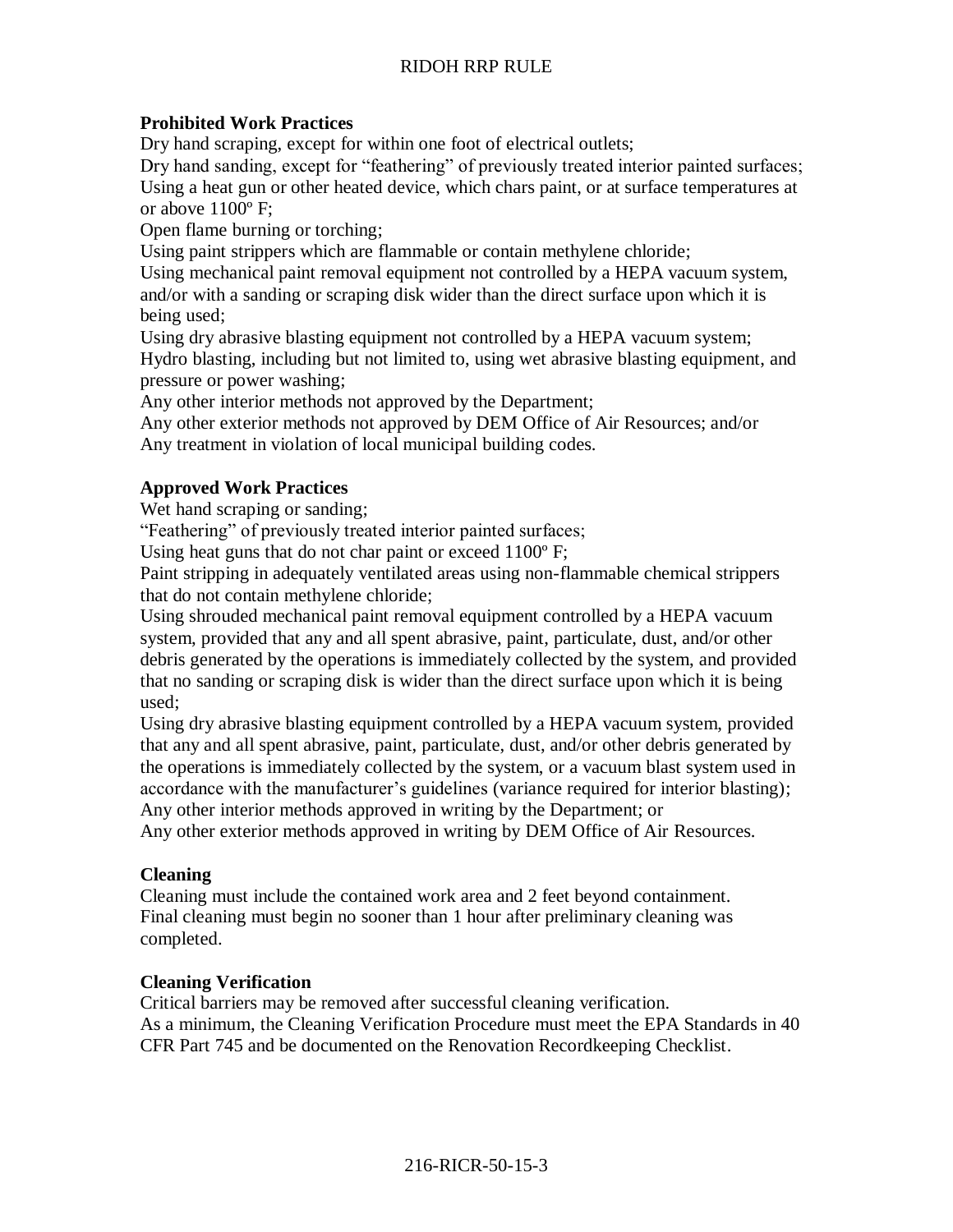# **Prohibited Work Practices**

Dry hand scraping, except for within one foot of electrical outlets;

Dry hand sanding, except for "feathering" of previously treated interior painted surfaces; Using a heat gun or other heated device, which chars paint, or at surface temperatures at or above 1100º F;

Open flame burning or torching;

Using paint strippers which are flammable or contain methylene chloride;

Using mechanical paint removal equipment not controlled by a HEPA vacuum system, and/or with a sanding or scraping disk wider than the direct surface upon which it is being used;

Using dry abrasive blasting equipment not controlled by a HEPA vacuum system; Hydro blasting, including but not limited to, using wet abrasive blasting equipment, and pressure or power washing;

Any other interior methods not approved by the Department;

Any other exterior methods not approved by DEM Office of Air Resources; and/or Any treatment in violation of local municipal building codes.

# **Approved Work Practices**

Wet hand scraping or sanding;

"Feathering" of previously treated interior painted surfaces;

Using heat guns that do not char paint or exceed 1100º F;

Paint stripping in adequately ventilated areas using non-flammable chemical strippers that do not contain methylene chloride;

Using shrouded mechanical paint removal equipment controlled by a HEPA vacuum system, provided that any and all spent abrasive, paint, particulate, dust, and/or other debris generated by the operations is immediately collected by the system, and provided that no sanding or scraping disk is wider than the direct surface upon which it is being used;

Using dry abrasive blasting equipment controlled by a HEPA vacuum system, provided that any and all spent abrasive, paint, particulate, dust, and/or other debris generated by the operations is immediately collected by the system, or a vacuum blast system used in accordance with the manufacturer's guidelines (variance required for interior blasting); Any other interior methods approved in writing by the Department; or

Any other exterior methods approved in writing by DEM Office of Air Resources.

# **Cleaning**

Cleaning must include the contained work area and 2 feet beyond containment. Final cleaning must begin no sooner than 1 hour after preliminary cleaning was completed.

# **Cleaning Verification**

Critical barriers may be removed after successful cleaning verification. As a minimum, the Cleaning Verification Procedure must meet the EPA Standards in 40 CFR Part 745 and be documented on the Renovation Recordkeeping Checklist.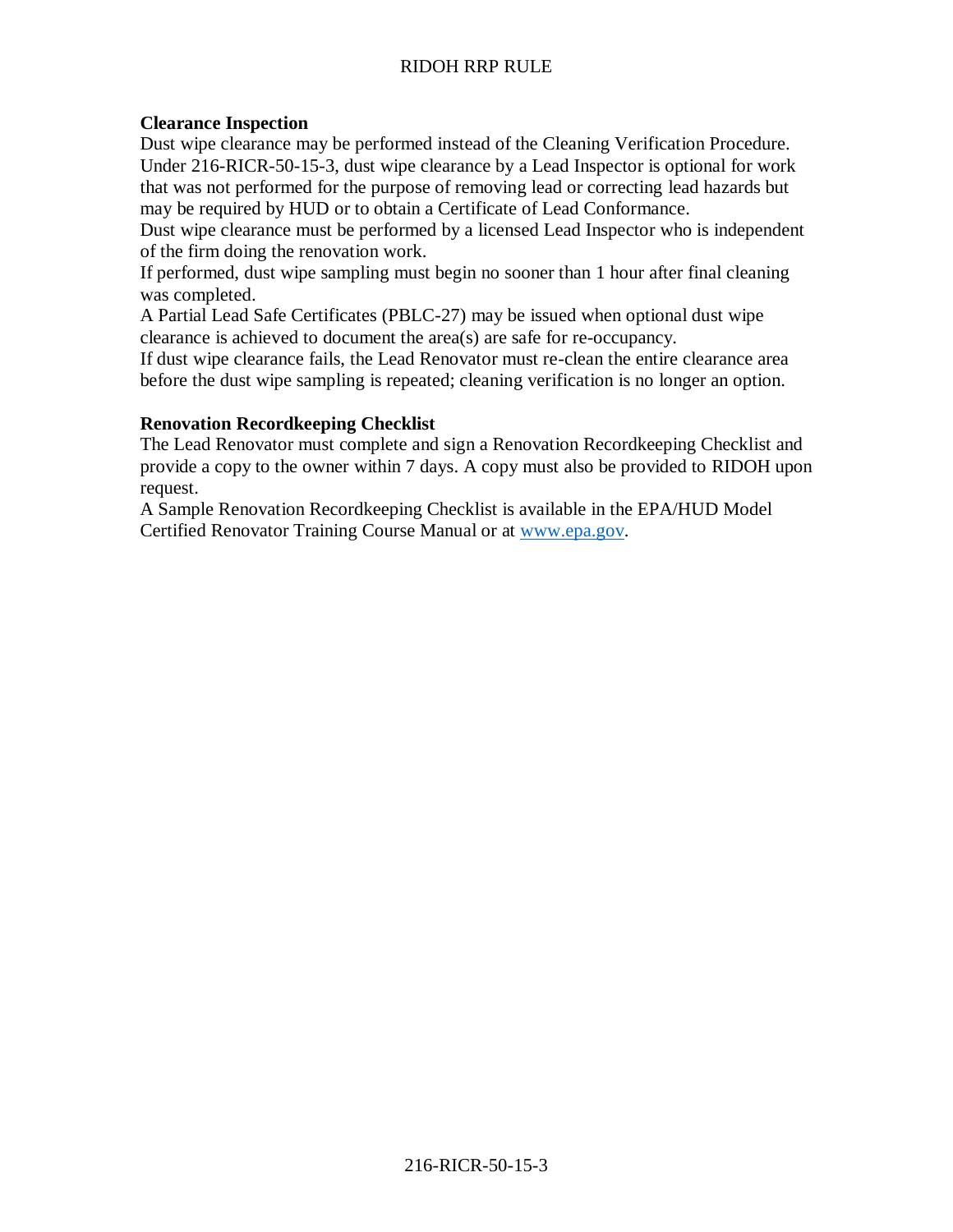## **Clearance Inspection**

Dust wipe clearance may be performed instead of the Cleaning Verification Procedure. Under 216-RICR-50-15-3, dust wipe clearance by a Lead Inspector is optional for work that was not performed for the purpose of removing lead or correcting lead hazards but may be required by HUD or to obtain a Certificate of Lead Conformance.

Dust wipe clearance must be performed by a licensed Lead Inspector who is independent of the firm doing the renovation work.

If performed, dust wipe sampling must begin no sooner than 1 hour after final cleaning was completed.

A Partial Lead Safe Certificates (PBLC-27) may be issued when optional dust wipe clearance is achieved to document the area(s) are safe for re-occupancy.

If dust wipe clearance fails, the Lead Renovator must re-clean the entire clearance area before the dust wipe sampling is repeated; cleaning verification is no longer an option.

### **Renovation Recordkeeping Checklist**

The Lead Renovator must complete and sign a Renovation Recordkeeping Checklist and provide a copy to the owner within 7 days. A copy must also be provided to RIDOH upon request.

A Sample Renovation Recordkeeping Checklist is available in the EPA/HUD Model Certified Renovator Training Course Manual or at [www.epa.gov.](http://www.epa.gov/)